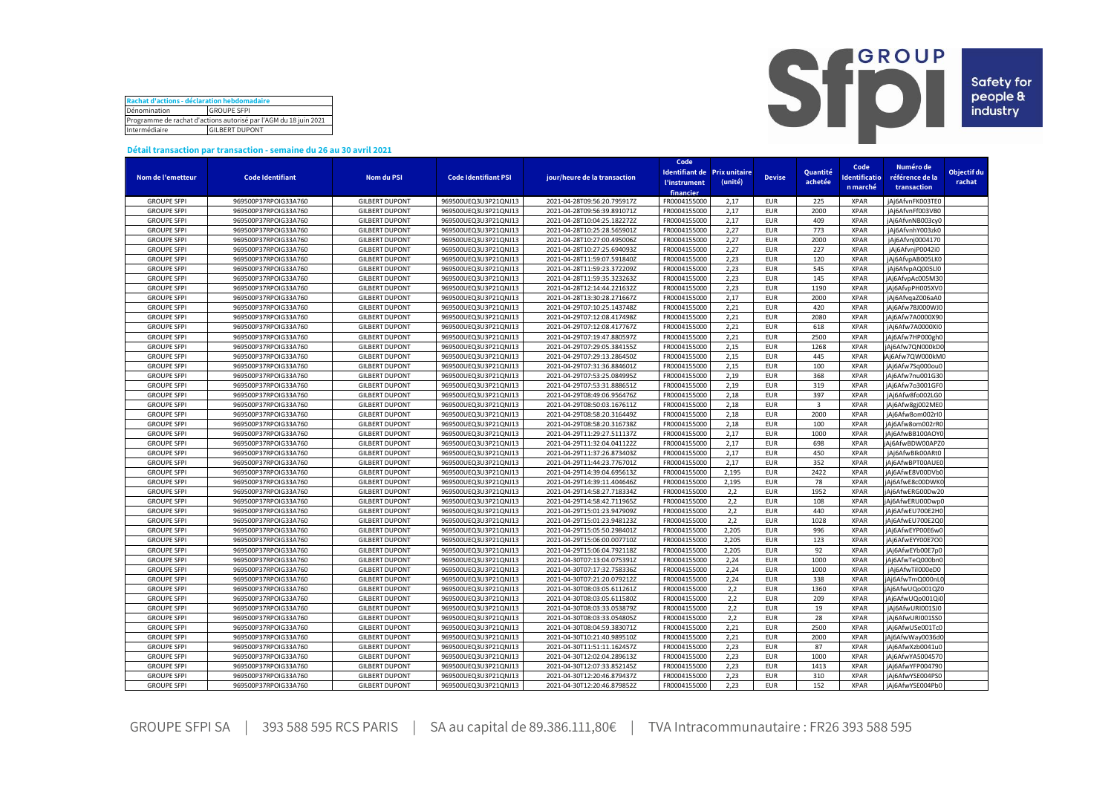| Rachat d'actions - déclaration hebdomadaire                      |                    |  |  |  |  |  |  |
|------------------------------------------------------------------|--------------------|--|--|--|--|--|--|
| Dénomination                                                     | <b>GROUPE SFPI</b> |  |  |  |  |  |  |
| Programme de rachat d'actions autorisé par l'AGM du 18 juin 2021 |                    |  |  |  |  |  |  |
| Intermédiaire<br><b>GILBERT DUPONT</b>                           |                    |  |  |  |  |  |  |



## **Détail transaction par transaction - semaine du 26 au 30 avril 2021**

|                                          |                                              |                                                |                                              |                                                            | Code                              |         |                          |                |                              |                                      |             |
|------------------------------------------|----------------------------------------------|------------------------------------------------|----------------------------------------------|------------------------------------------------------------|-----------------------------------|---------|--------------------------|----------------|------------------------------|--------------------------------------|-------------|
| Nom de l'emetteur                        | <b>Code Identifiant</b>                      | <b>Nom du PSI</b>                              | <b>Code Identifiant PSI</b>                  | jour/heure de la transaction                               | Identifiant de Prix unitaire      |         | <b>Devise</b>            | Quantité       | Code<br><b>Identificatio</b> | Numéro de<br>référence de la         | Objectif du |
|                                          |                                              |                                                |                                              |                                                            | <b><i><u>l'instrument</u></i></b> | (unité) |                          | achetée        | n marché                     |                                      | rachat      |
|                                          |                                              |                                                |                                              |                                                            | financier                         |         |                          |                |                              | transaction                          |             |
| <b>GROUPE SFPI</b>                       | 969500P37RPOIG33A760                         | <b>GILBERT DUPONT</b>                          | 969500UEQ3U3P21QNJ13                         | 2021-04-28T09:56:20.795917Z                                | FR0004155000                      | 2,17    | <b>EUR</b>               | 225            | <b>XPAR</b>                  | jAj6AfvnFK003TE0                     |             |
| <b>GROUPE SFPI</b>                       | 969500P37RPOIG33A760                         | <b>GILBERT DUPONT</b>                          | 969500UEQ3U3P21QNJ13                         | 2021-04-28T09:56:39.891071Z                                | FR0004155000                      | 2,17    | <b>EUR</b>               | 2000           | <b>XPAR</b>                  | jAj6AfvnFf003VB0                     |             |
| <b>GROUPE SFPI</b>                       | 969500P37RPOIG33A760                         | <b>GILBERT DUPONT</b>                          | 969500UEQ3U3P21QNJ13                         | 2021-04-28T10:04:25.182272Z                                | FR0004155000                      | 2,17    | <b>EUR</b>               | 409            | <b>XPAR</b>                  | jAj6AfvnNB003cy0                     |             |
| <b>GROUPE SFPI</b>                       | 969500P37RPOIG33A760                         | <b>GILBERT DUPONT</b>                          | 969500UEQ3U3P21QNJ13                         | 2021-04-28T10:25:28.565901Z                                | FR0004155000                      | 2,27    | <b>EUR</b>               | 773            | <b>XPAR</b>                  | jAj6AfvnhY003zk0                     |             |
| <b>GROUPE SFPI</b>                       | 969500P37RPOIG33A760                         | <b>GILBERT DUPONT</b>                          | 969500UEQ3U3P21QNJ13                         | 2021-04-28T10:27:00.495006Z                                | FR0004155000                      | 2,27    | <b>EUR</b>               | 2000           | <b>XPAR</b>                  | jAj6Afvnj0004170                     |             |
| <b>GROUPE SFPI</b>                       | 969500P37RPOIG33A760                         | <b>GILBERT DUPONT</b>                          | 969500UEQ3U3P21QNJ13                         | 2021-04-28T10:27:25.694093Z                                | FR0004155000                      | 2,27    | <b>EUR</b>               | 227            | <b>XPAR</b>                  | jAj6AfvnjP0042i0                     |             |
| <b>GROUPE SFPI</b>                       | 969500P37RPOIG33A760                         | <b>GILBERT DUPONT</b>                          | 969500UEQ3U3P21QNJ13                         | 2021-04-28T11:59:07.591840Z                                | FR0004155000                      | 2,23    | <b>EUR</b>               | 120            | <b>XPAR</b>                  | jAj6AfvpAB005LK0                     |             |
| <b>GROUPE SFPI</b>                       | 969500P37RPOIG33A760                         | <b>GILBERT DUPONT</b>                          | 969500UEQ3U3P21QNJ13                         | 2021-04-28T11:59:23.372209Z                                | FR0004155000                      | 2,23    | <b>EUR</b>               | 545            | <b>XPAR</b>                  | jAj6AfvpAQ005Ll0                     |             |
| <b>GROUPE SFPI</b>                       | 969500P37RPOIG33A760                         | <b>GILBERT DUPONT</b>                          | 969500UEQ3U3P21QNJ13                         | 2021-04-28T11:59:35.323263Z                                | FR0004155000                      | 2,23    | <b>EUR</b>               | 145            | <b>XPAR</b>                  | jAj6AfvpAc005M30                     |             |
| <b>GROUPE SFPI</b>                       | 969500P37RPOIG33A760                         | <b>GILBERT DUPONT</b>                          | 969500UEQ3U3P21QNJ13                         | 2021-04-28T12:14:44.221632Z                                | FR0004155000                      | 2,23    | <b>EUR</b>               | 1190           | <b>XPAR</b>                  | jAj6AfvpPH005XV0                     |             |
| <b>GROUPE SFPI</b>                       | 969500P37RPOIG33A760                         | <b>GILBERT DUPONT</b>                          | 969500UEQ3U3P21QNJ13                         | 2021-04-28T13:30:28.271667Z                                | FR0004155000                      | 2,17    | <b>EUR</b>               | 2000           | <b>XPAR</b>                  | jAj6AfvqaZ006aA0                     |             |
| <b>GROUPE SFPI</b>                       | 969500P37RPOIG33A760                         | <b>GILBERT DUPONT</b>                          | 969500UEQ3U3P21QNJ13                         | 2021-04-29T07:10:25.143748Z                                | FR0004155000                      | 2,21    | <b>EUR</b>               | 420            | <b>XPAR</b>                  | jAj6Afw78J000WJ0                     |             |
| <b>GROUPE SFPI</b>                       | 969500P37RPOIG33A760                         | <b>GILBERT DUPONT</b>                          | 969500UEQ3U3P21QNJ13                         | 2021-04-29T07:12:08.417498Z                                | FR0004155000                      | 2,21    | <b>EUR</b>               | 2080           | <b>XPAR</b>                  | jAj6Afw7A0000X90                     |             |
| <b>GROUPE SFPI</b>                       | 969500P37RPOIG33A760                         | <b>GILBERT DUPONT</b>                          | 969500UEQ3U3P21QNJ13                         | 2021-04-29T07:12:08.417767Z                                | FR0004155000                      | 2,21    | <b>EUR</b>               | 618            | <b>XPAR</b>                  | jAj6Afw7A0000XI0                     |             |
| <b>GROUPE SFPI</b>                       | 969500P37RPOIG33A760                         | <b>GILBERT DUPONT</b>                          | 969500UEQ3U3P21QNJ13                         | 2021-04-29T07:19:47.880597Z                                | FR0004155000                      | 2,21    | <b>EUR</b>               | 2500           | <b>XPAR</b>                  | jAj6Afw7HP000gh0                     |             |
| <b>GROUPE SFPI</b>                       | 969500P37RPOIG33A760                         | <b>GILBERT DUPONT</b>                          | 969500UEQ3U3P21QNJ13                         | 2021-04-29T07:29:05.384155Z                                | FR0004155000                      | 2,15    | <b>EUR</b>               | 1268           | <b>XPAR</b>                  | jAj6Afw7QN000kD0                     |             |
| <b>GROUPE SFPI</b>                       | 969500P37RPOIG33A760                         | <b>GILBERT DUPONT</b>                          | 969500UEQ3U3P21QNJ13                         | 2021-04-29T07:29:13.286450Z                                | FR0004155000                      | 2,15    | <b>EUR</b>               | 445            | <b>XPAR</b>                  | Ai6Afw7QW000kM0                      |             |
| <b>GROUPE SFPI</b>                       | 969500P37RPOIG33A760                         | <b>GILBERT DUPONT</b>                          | 969500UEQ3U3P21QNJ13                         | 2021-04-29T07:31:36.884601Z                                | FR0004155000                      | 2,15    | <b>EUR</b>               | 100            | <b>XPAR</b>                  | jAj6Afw7Sq000ou0                     |             |
| <b>GROUPE SFPI</b>                       | 969500P37RPOIG33A760                         | <b>GILBERT DUPONT</b>                          | 969500UEQ3U3P21QNJ13                         | 2021-04-29T07:53:25.084995Z                                | FR0004155000                      | 2,19    | <b>EUR</b>               | 368            | <b>XPAR</b>                  | jAj6Afw7nu001G30                     |             |
| <b>GROUPE SFPI</b>                       | 969500P37RPOIG33A760                         | <b>GILBERT DUPONT</b>                          | 969500UEQ3U3P21QNJ13                         | 2021-04-29T07:53:31.888651Z                                | FR0004155000                      | 2,19    | <b>EUR</b>               | 319            | <b>XPAR</b>                  | jAj6Afw7o3001GF0                     |             |
| <b>GROUPE SFPI</b>                       | 969500P37RPOIG33A760                         | <b>GILBERT DUPONT</b>                          | 969500UEQ3U3P21QNJ13                         | 2021-04-29T08:49:06.956476Z                                | FR0004155000                      | 2,18    | <b>EUR</b>               | 397            | <b>XPAR</b>                  | jAj6Afw8fo002LG0                     |             |
| <b>GROUPE SFPI</b>                       | 969500P37RPOIG33A760                         | <b>GILBERT DUPONT</b>                          | 969500UEQ3U3P21QNJ13                         | 2021-04-29T08:50:03.167611Z                                | FR0004155000                      | 2,18    | <b>EUR</b>               | $\overline{3}$ | <b>XPAR</b>                  | jAj6Afw8gj002ME0                     |             |
| <b>GROUPE SFPI</b>                       | 969500P37RPOIG33A760                         | <b>GILBERT DUPONT</b>                          | 969500UEQ3U3P21QNJ13                         | 2021-04-29T08:58:20.316449Z                                | FR0004155000                      | 2,18    | <b>FUR</b>               | 2000           | <b>XPAR</b>                  | iAi6Afw8om002rl0                     |             |
| <b>GROUPE SFPI</b>                       | 969500P37RPOIG33A760                         | <b>GILBERT DUPONT</b>                          | 969500UEQ3U3P21QNJ13                         | 2021-04-29T08:58:20.316738Z                                | FR0004155000                      | 2,18    | <b>EUR</b>               | 100            | <b>XPAR</b>                  | jAj6Afw8om002rR                      |             |
| <b>GROUPE SFPI</b>                       | 969500P37RPOIG33A760                         | <b>GILBERT DUPONT</b>                          | 969500UEQ3U3P21QNJ13                         | 2021-04-29T11:29:27.511137Z                                | FR0004155000                      | 2,17    | <b>EUR</b>               | 1000           | <b>XPAR</b>                  | jAj6AfwBB100AOYC                     |             |
| <b>GROUPE SFPI</b>                       | 969500P37RPOIG33A760                         | <b>GILBERT DUPONT</b>                          | 969500UEQ3U3P21QNJ13                         | 2021-04-29T11:32:04.041122Z                                | FR0004155000                      | 2,17    | <b>EUR</b>               | 698            | <b>XPAR</b>                  | jAj6AfwBDW00APZ0                     |             |
| <b>GROUPE SFPI</b>                       | 969500P37RPOIG33A760                         | <b>GILBERT DUPONT</b>                          | 969500UEQ3U3P21QNJ13                         | 2021-04-29T11:37:26.873403Z                                | FR0004155000                      | 2,17    | <b>EUR</b>               | 450            | <b>XPAR</b>                  | jAj6AfwBIk00ARt0                     |             |
| <b>GROUPE SFPI</b>                       | 969500P37RPOIG33A760                         | <b>GILBERT DUPONT</b>                          | 969500UEQ3U3P21QNJ13                         | 2021-04-29T11:44:23.776701Z                                | FR0004155000                      | 2,17    | <b>EUR</b>               | 352            | <b>XPAR</b>                  | jAj6AfwBPT00AUEC                     |             |
|                                          | 969500P37RPOIG33A760                         | <b>GILBERT DUPONT</b>                          | 969500UEQ3U3P21QNJ13                         |                                                            | FR0004155000                      | 2,195   | <b>EUR</b>               | 2422           | <b>XPAR</b>                  |                                      |             |
| <b>GROUPE SFPI</b><br><b>GROUPE SFPI</b> | 969500P37RPOIG33A760                         | <b>GILBERT DUPONT</b>                          | 969500UEQ3U3P21QNJ13                         | 2021-04-29T14:39:04.695613Z<br>2021-04-29T14:39:11.404646Z | FR0004155000                      | 2,195   | <b>EUR</b>               | 78             | <b>XPAR</b>                  | jAj6AfwE8V00DVb(<br>jAj6AfwE8c00DWK0 |             |
| <b>GROUPE SFPI</b>                       |                                              |                                                |                                              |                                                            | FR0004155000                      | 2,2     | <b>EUR</b>               | 1952           | <b>XPAR</b>                  |                                      |             |
| <b>GROUPE SFPI</b>                       | 969500P37RPOIG33A760<br>969500P37RPOIG33A760 | <b>GILBERT DUPONT</b><br><b>GILBERT DUPONT</b> | 969500UEQ3U3P21QNJ13<br>969500UEQ3U3P21QNJ13 | 2021-04-29T14:58:27.718334Z<br>2021-04-29T14:58:42.711965Z | FR0004155000                      | 2,2     | <b>EUR</b>               | 108            | <b>XPAR</b>                  | jAj6AfwERG00Dw20<br>jAj6AfwERU00Dwp0 |             |
|                                          |                                              |                                                |                                              |                                                            |                                   |         |                          | 440            | <b>XPAR</b>                  |                                      |             |
| <b>GROUPE SFPI</b>                       | 969500P37RPOIG33A760                         | <b>GILBERT DUPONT</b>                          | 969500UEQ3U3P21QNJ13                         | 2021-04-29T15:01:23.947909Z                                | FR0004155000                      | 2,2     | <b>EUR</b><br><b>EUR</b> | 1028           | <b>XPAR</b>                  | jAj6AfwEU700E2H0                     |             |
| <b>GROUPE SFPI</b>                       | 969500P37RPOIG33A760                         | <b>GILBERT DUPONT</b>                          | 969500UEQ3U3P21QNJ13                         | 2021-04-29T15:01:23.948123Z                                | FR0004155000<br>FR0004155000      | 2,2     | <b>EUR</b>               | 996            |                              | jAj6AfwEU700E2Q0                     |             |
| <b>GROUPE SFPI</b>                       | 969500P37RPOIG33A760                         | <b>GILBERT DUPONT</b>                          | 969500UEQ3U3P21QNJ13                         | 2021-04-29T15:05:50.298401Z                                |                                   | 2,205   | <b>EUR</b>               |                | <b>XPAR</b><br><b>XPAR</b>   | jAj6AfwEYP00E6w0                     |             |
| <b>GROUPE SFPI</b>                       | 969500P37RPOIG33A760                         | <b>GILBERT DUPONT</b>                          | 969500UEQ3U3P21QNJ13                         | 2021-04-29T15:06:00.007710Z                                | FR0004155000                      | 2,205   |                          | 123            |                              | jAj6AfwEYY00E7O0                     |             |
| <b>GROUPE SFPI</b>                       | 969500P37RPOIG33A760                         | <b>GILBERT DUPONT</b>                          | 969500UEQ3U3P21QNJ13                         | 2021-04-29T15:06:04.792118Z                                | FR0004155000                      | 2,205   | <b>EUR</b>               | 92             | <b>XPAR</b>                  | jAj6AfwEYb00E7p0                     |             |
| <b>GROUPE SFPI</b>                       | 969500P37RPOIG33A760                         | <b>GILBERT DUPONT</b>                          | 969500UEQ3U3P21QNJ13                         | 2021-04-30T07:13:04.075391Z                                | FR0004155000                      | 2.24    | <b>FUR</b>               | 1000           | <b>XPAR</b>                  | jAj6AfwTeQ000bn(                     |             |
| <b>GROUPE SFPI</b>                       | 969500P37RPOIG33A760                         | <b>GILBERT DUPONT</b>                          | 969500UEQ3U3P21QNJ13                         | 2021-04-30T07:17:32.758336Z                                | FR0004155000                      | 2,24    | <b>EUR</b>               | 1000           | <b>XPAR</b>                  | jAj6AfwTil000eD0                     |             |
| <b>GROUPE SFPI</b>                       | 969500P37RPOIG33A760                         | <b>GILBERT DUPONT</b>                          | 969500UEQ3U3P21QNJ13                         | 2021-04-30T07:21:20.079212Z                                | FR0004155000                      | 2,24    | <b>EUR</b>               | 338            | <b>XPAR</b>                  | jAj6AfwTmQ000nL0                     |             |
| <b>GROUPE SFPI</b>                       | 969500P37RPOIG33A760                         | <b>GILBERT DUPONT</b>                          | 969500UEQ3U3P21QNJ13                         | 2021-04-30T08:03:05.611261Z                                | FR0004155000                      | 2,2     | <b>EUR</b>               | 1360           | <b>XPAR</b>                  | jAj6AfwUQo001QZ0                     |             |
| <b>GROUPE SFPI</b>                       | 969500P37RPOIG33A760                         | <b>GILBERT DUPONT</b>                          | 969500UEQ3U3P21QNJ13                         | 2021-04-30T08:03:05.611580Z                                | FR0004155000                      | 2,2     | <b>EUR</b>               | 209            | <b>XPAR</b>                  | Ai6AfwUQo001Qi0                      |             |
| <b>GROUPE SFPI</b>                       | 969500P37RPOIG33A760                         | <b>GILBERT DUPONT</b>                          | 969500UEQ3U3P21QNJ13                         | 2021-04-30T08:03:33.053879Z                                | FR0004155000                      | 2,2     | <b>EUR</b>               | 19             | <b>XPAR</b>                  | jAj6AfwURI001SJ0                     |             |
| <b>GROUPE SFPI</b>                       | 969500P37RPOIG33A760                         | <b>GILBERT DUPONT</b>                          | 969500UEQ3U3P21QNJ13                         | 2021-04-30T08:03:33.054805Z                                | FR0004155000                      | 2,2     | <b>EUR</b>               | 28             | <b>XPAR</b>                  | jAj6AfwURI001SS0                     |             |
| <b>GROUPE SFPI</b>                       | 969500P37RPOIG33A760                         | <b>GILBERT DUPONT</b>                          | 969500UEQ3U3P21QNJ13                         | 2021-04-30T08:04:59.383071Z                                | FR0004155000                      | 2,21    | <b>EUR</b>               | 2500           | <b>XPAR</b>                  | jAj6AfwUSe001Tc0                     |             |
| <b>GROUPE SFPI</b>                       | 969500P37RPOIG33A760                         | <b>GILBERT DUPONT</b>                          | 969500UEQ3U3P21QNJ13                         | 2021-04-30T10:21:40.989510Z                                | FR0004155000                      | 2,21    | <b>EUR</b>               | 2000           | <b>XPAR</b>                  | jAj6AfwWay0036dC                     |             |
| <b>GROUPE SFPI</b>                       | 969500P37RPOIG33A760                         | <b>GILBERT DUPONT</b>                          | 969500UEQ3U3P21QNJ13                         | 2021-04-30T11:51:11.162457Z                                | FR0004155000                      | 2,23    | <b>EUR</b>               | 87             | <b>XPAR</b>                  | iAi6AfwXzb0041u0                     |             |
| <b>GROUPE SFPI</b>                       | 969500P37RPOIG33A760                         | <b>GILBERT DUPONT</b>                          | 969500UEQ3U3P21QNJ13                         | 2021-04-30T12:02:04.289613Z                                | FR0004155000                      | 2,23    | <b>EUR</b>               | 1000           | <b>XPAR</b>                  | jAj6AfwYA5004570                     |             |
| <b>GROUPE SFPI</b>                       | 969500P37RPOIG33A760                         | <b>GILBERT DUPONT</b>                          | 969500UEQ3U3P21QNJ13                         | 2021-04-30T12:07:33.852145Z                                | FR0004155000                      | 2,23    | <b>EUR</b>               | 1413           | <b>XPAR</b>                  | jAj6AfwYFP004790                     |             |
| <b>GROUPE SFPI</b>                       | 969500P37RPOIG33A760                         | <b>GILBERT DUPONT</b>                          | 969500UEQ3U3P21QNJ13                         | 2021-04-30T12:20:46.879437Z                                | FR0004155000                      | 2.23    | <b>EUR</b>               | 310            | <b>XPAR</b>                  | jAj6AfwYSE004PS0                     |             |
| <b>GROUPE SFPI</b>                       | 969500P37RPOIG33A760                         | <b>GILBERT DUPONT</b>                          | 969500UEQ3U3P21QNJ13                         | 2021-04-30T12:20:46.879852Z                                | FR0004155000                      | 2.23    | <b>EUR</b>               | 152            | <b>XPAR</b>                  | jAj6AfwYSE004Pb0                     |             |